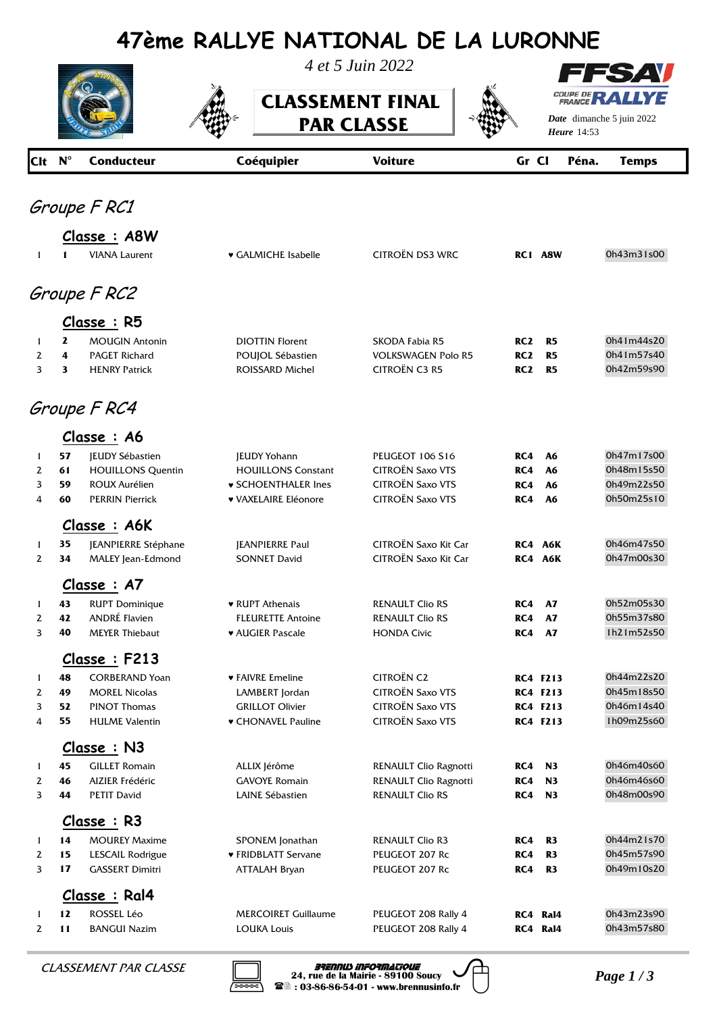## **47ème RALLYE NATIONAL DE LA LURONNE**



*4 et 5 Juin 2022*

**CLASSEMENT FINAL PAR CLASSE** 



FS AV ⊣ **COUPE DE RAI** *YE* 

*Date* dimanche 5 juin 2022 *Heure*

| Clt N <sup>°</sup> |               | <b>Conducteur</b>                     | Coéquipier                              | <b>Voiture</b>                                  | Gr Cl           |                                    | Péna. | <b>Temps</b>             |
|--------------------|---------------|---------------------------------------|-----------------------------------------|-------------------------------------------------|-----------------|------------------------------------|-------|--------------------------|
|                    |               | Groupe F RC1                          |                                         |                                                 |                 |                                    |       |                          |
|                    |               |                                       |                                         |                                                 |                 |                                    |       |                          |
|                    |               | Classe: A8W                           |                                         |                                                 |                 |                                    |       |                          |
| $\mathbf{1}$       | 1             | <b>VIANA Laurent</b>                  | ♥ GALMICHE Isabelle                     | CITROËN DS3 WRC                                 |                 | RC1 A8W                            |       | 0h43m31s00               |
|                    |               | Groupe F RC2                          |                                         |                                                 |                 |                                    |       |                          |
|                    |               | Classe: R5                            |                                         |                                                 |                 |                                    |       |                          |
| 1                  | 2             | <b>MOUGIN Antonin</b>                 | <b>DIOTTIN Florent</b>                  | SKODA Fabia R5                                  | RC <sub>2</sub> | R5                                 |       | 0h41m44s20               |
| 2                  | 4             | <b>PAGET Richard</b>                  | POUJOL Sébastien                        | <b>VOLKSWAGEN Polo R5</b>                       | RC <sub>2</sub> | R <sub>5</sub>                     |       | 0h41m57s40               |
| 3                  | 3             | <b>HENRY Patrick</b>                  | ROISSARD Michel                         | <b>CITROËN C3 R5</b>                            | RC <sub>2</sub> | R5                                 |       | 0h42m59s90               |
|                    |               | Groupe F RC4                          |                                         |                                                 |                 |                                    |       |                          |
|                    |               | Classe : A6                           |                                         |                                                 |                 |                                    |       |                          |
| 1                  | 57            | JEUDY Sébastien                       | <b>JEUDY Yohann</b>                     | <b>PEUGEOT 106 S16</b>                          | RC4             | A6                                 |       | 0h47m17s00               |
| 2                  | 61            | <b>HOUILLONS Quentin</b>              | <b>HOUILLONS Constant</b>               | <b>CITROËN Saxo VTS</b>                         | RC4             | A6                                 |       | 0h48m15s50               |
| 3                  | 59            | ROUX Aurélien                         | <b>v SCHOENTHALER Ines</b>              | <b>CITROËN Saxo VTS</b>                         | RC4             | A6                                 |       | 0h49m22s50               |
| 4                  | 60            | <b>PERRIN Pierrick</b>                | <b>v VAXELAIRE Eléonore</b>             | <b>CITROËN Saxo VTS</b>                         | RC4             | <b>A6</b>                          |       | 0h50m25s10               |
|                    |               | Classe: A6K                           |                                         |                                                 |                 |                                    |       |                          |
| $\mathbf{1}$       | 35            | JEANPIERRE Stéphane                   | <b>JEANPIERRE Paul</b>                  | CITROËN Saxo Kit Car                            |                 | RC4 A6K                            |       | 0h46m47s50               |
| $\mathbf{z}$       | 34            | MALEY Jean-Edmond                     | <b>SONNET David</b>                     | CITROËN Saxo Kit Car                            |                 | RC4 A6K                            |       | 0h47m00s30               |
|                    |               | Classe : A7                           |                                         |                                                 |                 |                                    |       |                          |
| 1                  | 43            | <b>RUPT Dominique</b>                 | ♥ RUPT Athenais                         | <b>RENAULT Clio RS</b>                          | RC4             | <b>A7</b>                          |       | 0h52m05s30               |
| $\mathbf{2}$       | 42            | <b>ANDRÉ Flavien</b>                  | <b>FLEURETTE Antoine</b>                | <b>RENAULT Clio RS</b>                          | RC4             | <b>A7</b>                          |       | 0h55m37s80               |
| 3                  | 40            | <b>MEYER Thiebaut</b>                 | <b>* AUGIER Pascale</b>                 | <b>HONDA Civic</b>                              | RC4             | <b>A7</b>                          |       | 1h21m52s50               |
|                    |               | Classe : F213                         |                                         |                                                 |                 |                                    |       |                          |
| 1                  | 48            | <b>CORBERAND Yoan</b>                 | ♥ FAIVRE Emeline                        | <b>CITROËN C2</b>                               |                 | <b>RC4 F213</b>                    |       | 0h44m22s20               |
| 2                  | 49            | <b>MOREL Nicolas</b>                  | LAMBERT Jordan                          | CITROËN Saxo VTS                                |                 | <b>RC4 F213</b>                    |       | 0h45m18s50               |
| 3<br>4             | 52<br>55      | PINOT Thomas                          | <b>GRILLOT Olivier</b>                  | CITROËN Saxo VTS<br><b>CITROËN Saxo VTS</b>     |                 | <b>RC4 F213</b><br><b>RC4 F213</b> |       | 0h46m14s40<br>1h09m25s60 |
|                    |               | <b>HULME Valentin</b>                 | ♥ CHONAVEL Pauline                      |                                                 |                 |                                    |       |                          |
|                    |               | Classe : N3                           |                                         |                                                 |                 |                                    |       |                          |
| 1                  | 45            | <b>GILLET Romain</b>                  | ALLIX Jérôme                            | RENAULT Clio Ragnotti                           | RC4             | <b>N3</b>                          |       | 0h46m40s60               |
| 2<br>3             | 46<br>44      | AIZIER Frédéric<br><b>PETIT David</b> | <b>GAVOYE Romain</b><br>LAINE Sébastien | RENAULT Clio Ragnotti<br><b>RENAULT Clio RS</b> | RC4             | N3<br><b>RC4 N3</b>                |       | 0h46m46s60<br>0h48m00s90 |
|                    |               | Classe : R3                           |                                         |                                                 |                 |                                    |       |                          |
| $\mathbf{1}$       | 14            | <b>MOUREY Maxime</b>                  | SPONEM Jonathan                         | <b>RENAULT Clio R3</b>                          | RC4             | R <sub>3</sub>                     |       | 0h44m21s70               |
| 2                  | 15            | LESCAIL Rodrigue                      | ♥ FRIDBLATT Servane                     | PEUGEOT 207 Rc                                  | RC4             | R3                                 |       | 0h45m57s90               |
| 3                  | 17            | <b>GASSERT Dimitri</b>                | ATTALAH Bryan                           | PEUGEOT 207 Rc                                  | RC4             | R3                                 |       | 0h49m10s20               |
|                    | Classe : Ral4 |                                       |                                         |                                                 |                 |                                    |       |                          |
| $\mathbf{1}$       | 12            | ROSSEL Léo                            | <b>MERCOIRET Guillaume</b>              | PEUGEOT 208 Rally 4                             |                 | RC4 Ral4                           |       | 0h43m23s90               |
| $\mathbf{2}$       | 11            | <b>BANGUI Nazim</b>                   | <b>LOUKA Louis</b>                      | PEUGEOT 208 Rally 4                             |                 | RC4 Ral4                           |       | 0h43m57s80               |



*PAR CLASSE* **Brennus Informatique**<br>
24, rue de la Mairie - 89100 Soucy<br>
24, rue de la Mairie - 89100 Soucy<br>
28 03-86-86-54-01 - www.brennusinfo.fr<br>
28 03-86-86-54-01 - www.brennusinfo.fr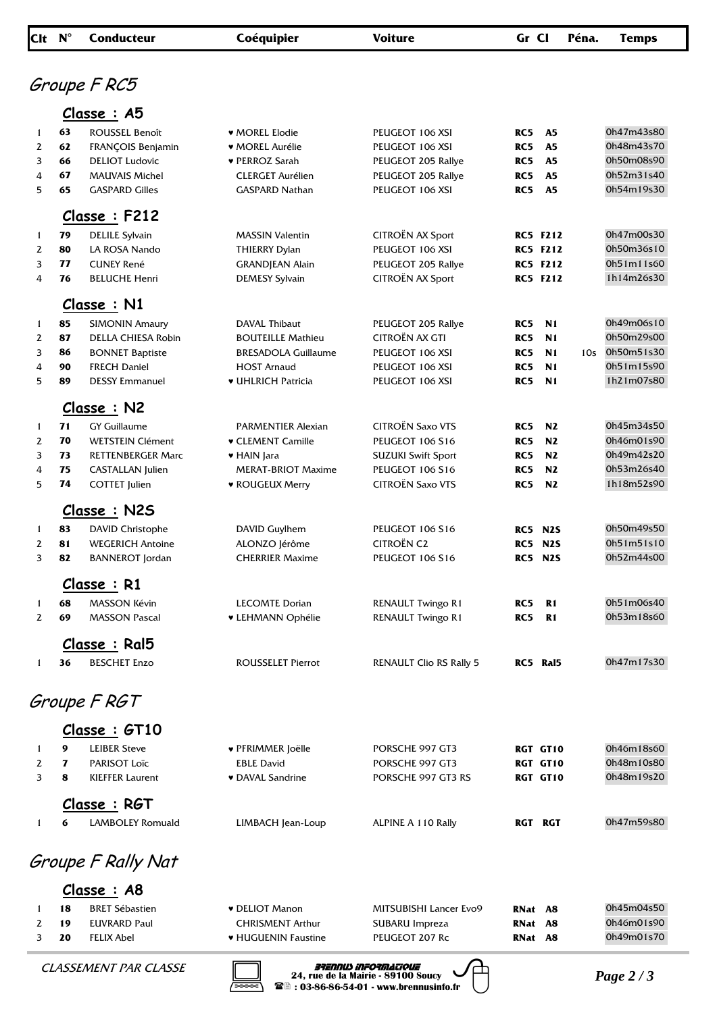| Clt N <sup>°</sup> |              | <b>Conducteur</b>         | Coéquipier                 | <b>Voiture</b>                 | Gr Cl |                  | Péna. | <b>Temps</b> |
|--------------------|--------------|---------------------------|----------------------------|--------------------------------|-------|------------------|-------|--------------|
|                    |              |                           |                            |                                |       |                  |       |              |
|                    |              | Groupe F RC5              |                            |                                |       |                  |       |              |
|                    |              |                           |                            |                                |       |                  |       |              |
|                    |              | Classe : A5               |                            |                                |       |                  |       |              |
| 1                  | 63           | ROUSSEL Benoît            | ♥ MOREL Elodie             | PEUGEOT 106 XSI                | RC5   | A5               |       | 0h47m43s80   |
| 2                  | 62           | FRANÇOIS Benjamin         | ♥ MOREL Aurélie            | PEUGEOT 106 XSI                | RC5   | A5               |       | 0h48m43s70   |
| 3                  | 66           | <b>DELIOT</b> Ludovic     | ♥ PERROZ Sarah             | PEUGEOT 205 Rallye             | RC5   | A5               |       | 0h50m08s90   |
| 4                  | 67           | <b>MAUVAIS Michel</b>     | <b>CLERGET Aurélien</b>    | PEUGEOT 205 Rallye             | RC5   | A <sub>5</sub>   |       | 0h52m31s40   |
| 5                  | 65           | <b>GASPARD Gilles</b>     | <b>GASPARD Nathan</b>      | PEUGEOT 106 XSI                | RC5   | A <sub>5</sub>   |       | 0h54m19s30   |
|                    |              | Classe : F212             |                            |                                |       |                  |       |              |
| 1                  | 79           | <b>DELILE Sylvain</b>     | <b>MASSIN Valentin</b>     | CITROËN AX Sport               |       | <b>RC5 F212</b>  |       | 0h47m00s30   |
| 2                  | 80           | LA ROSA Nando             | <b>THIERRY Dylan</b>       | PEUGEOT 106 XSI                |       | <b>RC5 F212</b>  |       | 0h50m36s10   |
| 3                  | 77           | <b>CUNEY René</b>         | <b>GRANDJEAN Alain</b>     | PEUGEOT 205 Rallye             |       | <b>RC5 F212</b>  |       | 0h51m11s60   |
| 4                  | 76           | <b>BELUCHE Henri</b>      | <b>DEMESY Sylvain</b>      | CITROËN AX Sport               |       | <b>RC5 F212</b>  |       | 1h14m26s30   |
|                    |              | Classe: N1                |                            |                                |       |                  |       |              |
| 1                  | 85           | <b>SIMONIN Amaury</b>     | DAVAL Thibaut              | PEUGEOT 205 Rallye             | RC5   | N <sub>1</sub>   |       | 0h49m06s10   |
| 2                  | 87           | <b>DELLA CHIESA Robin</b> | <b>BOUTEILLE Mathieu</b>   | CITROËN AX GTI                 | RC5   | N <sub>1</sub>   |       | 0h50m29s00   |
| 3                  | 86           | <b>BONNET Baptiste</b>    | <b>BRESADOLA Guillaume</b> | PEUGEOT 106 XSI                | RC5   | N <sub>1</sub>   | 10s   | 0h50m51s30   |
| 4                  | 90           | <b>FRECH Daniel</b>       | <b>HOST Arnaud</b>         | PEUGEOT 106 XSI                | RC5   | N <sub>1</sub>   |       | 0h51m15s90   |
| 5                  | 89           | <b>DESSY Emmanuel</b>     | ♥ UHLRICH Patricia         | PEUGEOT 106 XSI                | RC5   | N <sub>1</sub>   |       | 1h21m07s80   |
|                    |              | Classe: N2                |                            |                                |       |                  |       |              |
| 1                  | 71           | <b>GY Guillaume</b>       | <b>PARMENTIER Alexian</b>  | CITROËN Saxo VTS               | RC5   | N2               |       | 0h45m34s50   |
| 2                  | 70           | <b>WETSTEIN Clément</b>   | <b>v</b> CLEMENT Camille   | <b>PEUGEOT 106 S16</b>         | RC5   | N2               |       | 0h46m01s90   |
| 3                  | 73           | <b>RETTENBERGER Marc</b>  | ♥ HAIN Jara                | <b>SUZUKI Swift Sport</b>      | RC5   | N2               |       | 0h49m42s20   |
| 4                  | 75           | CASTALLAN Julien          | <b>MERAT-BRIOT Maxime</b>  | <b>PEUGEOT 106 S16</b>         | RC5   | N2               |       | 0h53m26s40   |
| 5                  | 74           | <b>COTTET Julien</b>      | <b>v ROUGEUX Merry</b>     | <b>CITROËN Saxo VTS</b>        | RC5   | N2               |       | 1h18m52s90   |
|                    |              | Classe: N2S               |                            |                                |       |                  |       |              |
| 1                  | 83           | <b>DAVID Christophe</b>   | DAVID Guylhem              | <b>PEUGEOT 106 S16</b>         |       | <b>RC5 N2S</b>   |       | 0h50m49s50   |
| 2                  | 81           | <b>WEGERICH Antoine</b>   | ALONZO Jérôme              | <b>CITROËN C2</b>              | RC5   | N <sub>2</sub> S |       | 0h51m51s10   |
| 3                  | 82           | <b>BANNEROT</b> Jordan    | <b>CHERRIER Maxime</b>     | <b>PEUGEOT 106 S16</b>         |       | <b>RC5 N2S</b>   |       | 0h52m44s00   |
|                    |              | Classe : R1               |                            |                                |       |                  |       |              |
|                    | 68           | <b>MASSON Kévin</b>       | <b>LECOMTE Dorian</b>      | <b>RENAULT Twingo R1</b>       | RC5   | $R1$             |       | 0h51m06s40   |
| 1<br>2             | 69           | <b>MASSON Pascal</b>      | <b>v LEHMANN Ophélie</b>   | RENAULT Twingo R1              | RC5   | R <sub>1</sub>   |       | 0h53m18s60   |
|                    |              | Classe: Ral5              |                            |                                |       |                  |       |              |
| 1                  | 36           | <b>BESCHET Enzo</b>       | <b>ROUSSELET Pierrot</b>   | <b>RENAULT Clio RS Rally 5</b> |       | RC5 Ral5         |       | 0h47m17s30   |
|                    |              |                           |                            |                                |       |                  |       |              |
|                    |              | Groupe F RGT              |                            |                                |       |                  |       |              |
|                    |              | Classe : GT10             |                            |                                |       |                  |       |              |
|                    |              |                           |                            |                                |       |                  |       |              |
| 1                  | 9            | <b>LEIBER Steve</b>       | ♥ PFRIMMER Joëlle          | PORSCHE 997 GT3                |       | RGT GT10         |       | 0h46m18s60   |
| 2<br>3             | $\mathbf{z}$ | PARISOT Loïc              | <b>EBLE David</b>          | PORSCHE 997 GT3                |       | RGT GT10         |       | 0h48m10s80   |
|                    | 8            | <b>KIEFFER Laurent</b>    | • DAVAL Sandrine           | PORSCHE 997 GT3 RS             |       | RGT GT10         |       | 0h48m19s20   |
|                    |              | Classe : RGT              |                            |                                |       |                  |       |              |
| 1                  | 6            | LAMBOLEY Romuald          | LIMBACH Jean-Loup          | ALPINE A 110 Rally             |       | RGT RGT          |       | 0h47m59s80   |
|                    |              | Groupe F Rally Nat        |                            |                                |       |                  |       |              |
|                    |              | Classe: A8                |                            |                                |       |                  |       |              |
| 1                  | 18           | <b>BRET Sébastien</b>     | <b>v</b> DELIOT Manon      | MITSUBISHI Lancer Evo9         |       | RNat A8          |       | 0h45m04s50   |
| 2                  | 19           | <b>EUVRARD Paul</b>       | <b>CHRISMENT Arthur</b>    | SUBARU Impreza                 | RNat  | A8               |       | 0h46m01s90   |
| 3                  | 20           | <b>FELIX Abel</b>         | <b>* HUGUENIN Faustine</b> | PEUGEOT 207 Rc                 |       | RNat A8          |       | 0h49m01s70   |
|                    |              |                           |                            |                                |       |                  |       |              |

*PAR CLASSE* **Brennus Informatique**<br>
24, rue de la Mairie - 89100 Soucy<br>
24, rue de la Mairie - 89100 Soucy<br>
26 : 03-86-86-54-01 - www.brennusinfo.fr<br>
26 : 03-86-86-54-01 - www.brennusinfo.fr